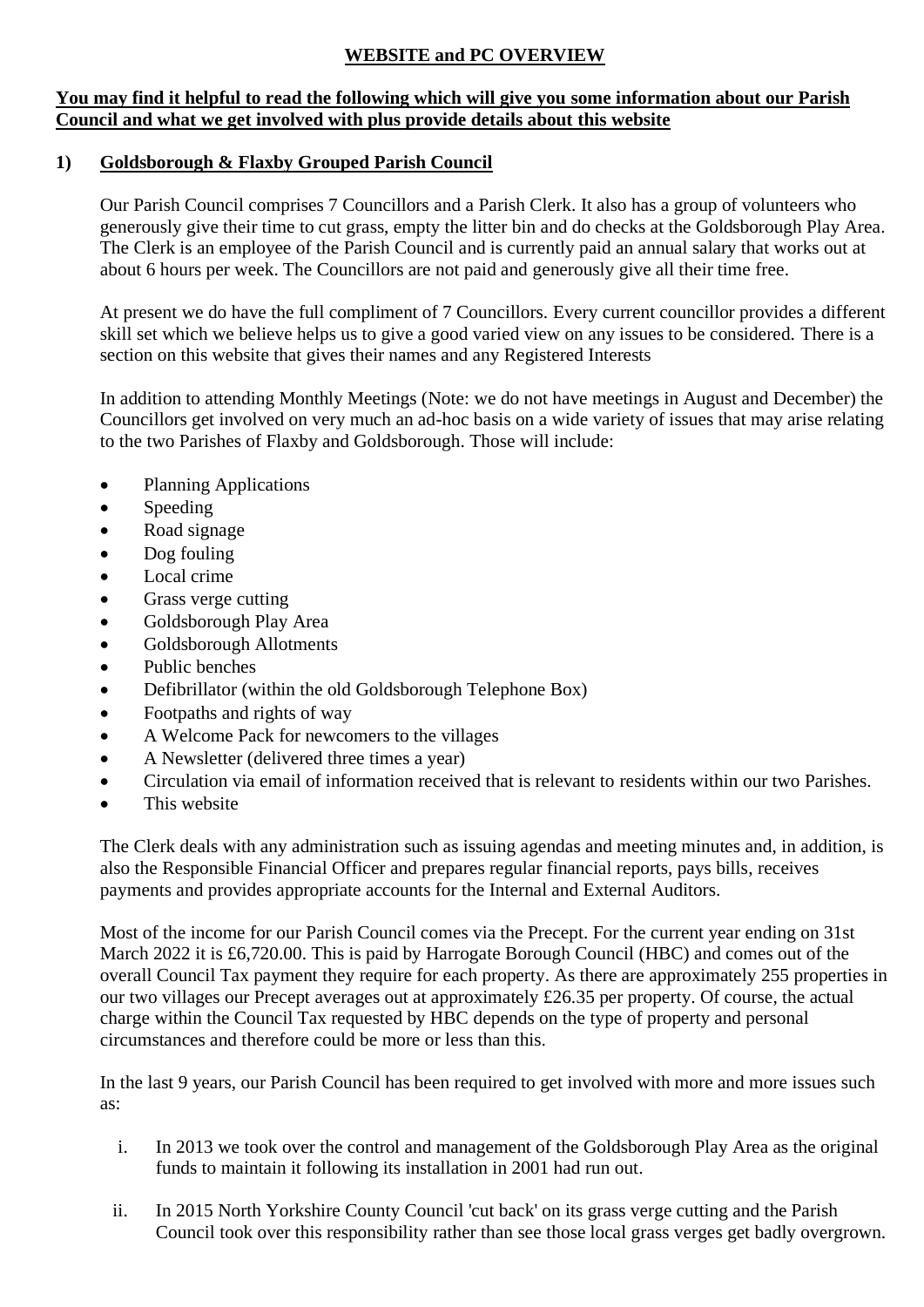# **WEBSITE and PC OVERVIEW**

### **You may find it helpful to read the following which will give you some information about our Parish Council and what we get involved with plus provide details about this website**

## **1) Goldsborough & Flaxby Grouped Parish Council**

Our Parish Council comprises 7 Councillors and a Parish Clerk. It also has a group of volunteers who generously give their time to cut grass, empty the litter bin and do checks at the Goldsborough Play Area. The Clerk is an employee of the Parish Council and is currently paid an annual salary that works out at about 6 hours per week. The Councillors are not paid and generously give all their time free.

At present we do have the full compliment of 7 Councillors. Every current councillor provides a different skill set which we believe helps us to give a good varied view on any issues to be considered. There is a section on this website that gives their names and any Registered Interests

In addition to attending Monthly Meetings (Note: we do not have meetings in August and December) the Councillors get involved on very much an ad-hoc basis on a wide variety of issues that may arise relating to the two Parishes of Flaxby and Goldsborough. Those will include:

- Planning Applications
- Speeding
- Road signage
- Dog fouling
- Local crime
- Grass verge cutting
- Goldsborough Play Area
- Goldsborough Allotments
- Public benches
- Defibrillator (within the old Goldsborough Telephone Box)
- Footpaths and rights of way
- A Welcome Pack for newcomers to the villages
- A Newsletter (delivered three times a year)
- Circulation via email of information received that is relevant to residents within our two Parishes.
- This website

The Clerk deals with any administration such as issuing agendas and meeting minutes and, in addition, is also the Responsible Financial Officer and prepares regular financial reports, pays bills, receives payments and provides appropriate accounts for the Internal and External Auditors.

Most of the income for our Parish Council comes via the Precept. For the current year ending on 31st March 2022 it is £6,720.00. This is paid by Harrogate Borough Council (HBC) and comes out of the overall Council Tax payment they require for each property. As there are approximately 255 properties in our two villages our Precept averages out at approximately £26.35 per property. Of course, the actual charge within the Council Tax requested by HBC depends on the type of property and personal circumstances and therefore could be more or less than this.

In the last 9 years, our Parish Council has been required to get involved with more and more issues such as:

- i. In 2013 we took over the control and management of the Goldsborough Play Area as the original funds to maintain it following its installation in 2001 had run out.
- ii. In 2015 North Yorkshire County Council 'cut back' on its grass verge cutting and the Parish Council took over this responsibility rather than see those local grass verges get badly overgrown.